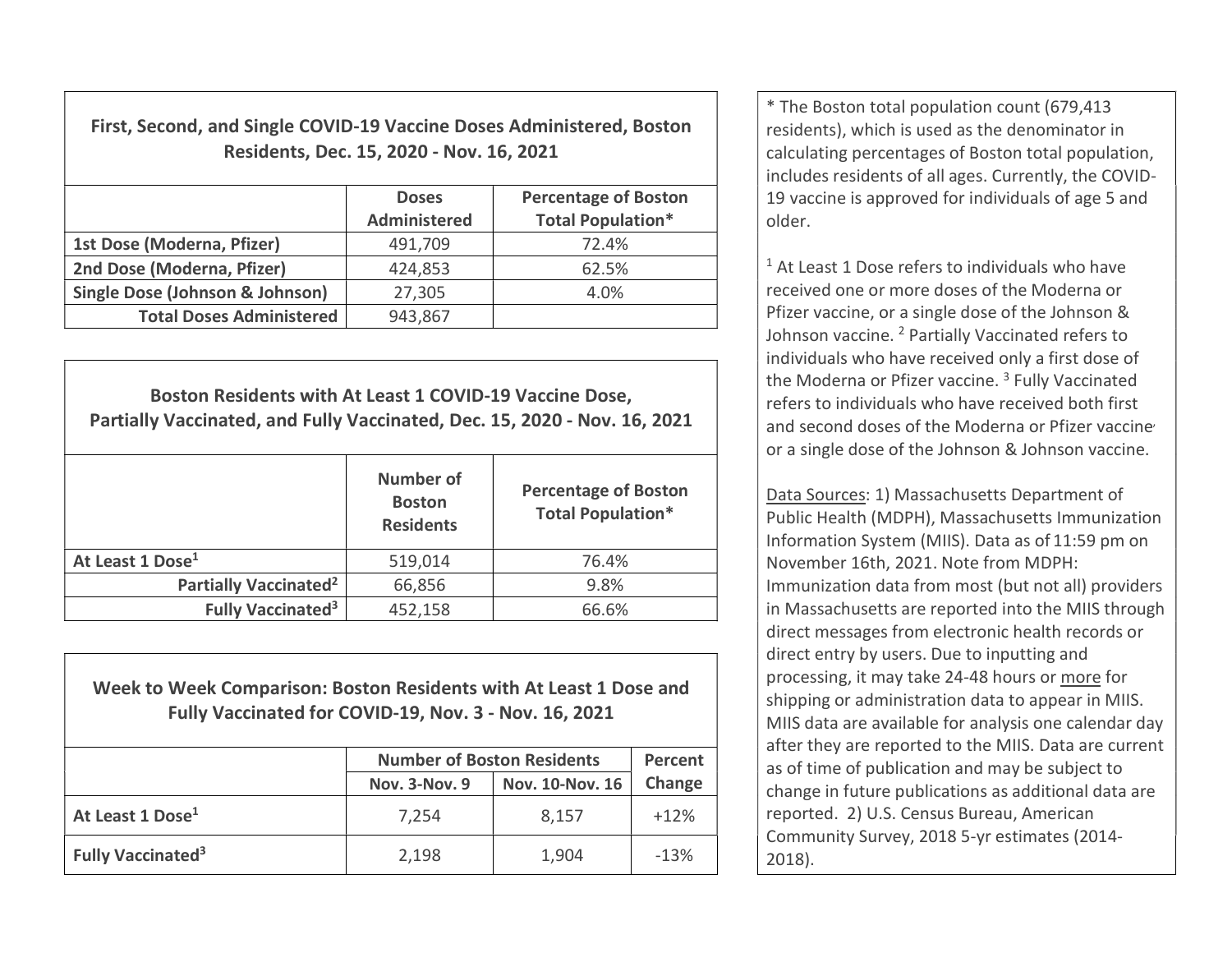First, Second, and Single COVID-19 Vaccine Doses Administered, Boston Residents, Dec. 15, 2020 - Nov. 16, 2021

|                                            | <b>Doses</b><br>Administered | <b>Percentage of Boston</b><br><b>Total Population*</b> |
|--------------------------------------------|------------------------------|---------------------------------------------------------|
| 1st Dose (Moderna, Pfizer)                 | 491,709                      | 72.4%                                                   |
| 2nd Dose (Moderna, Pfizer)                 | 424,853                      | 62.5%                                                   |
| <b>Single Dose (Johnson &amp; Johnson)</b> | 27,305                       | 4.0%                                                    |
| <b>Total Doses Administered</b>            | 943,867                      |                                                         |

Boston Residents with At Least 1 COVID-19 Vaccine Dose, Partially Vaccinated, and Fully Vaccinated, Dec. 15, 2020 - Nov. 16, 2021 Number of **Boston Residents** Percentage of Boston Total Population\* At Least 1 Dose<sup>1</sup> 1519,014 76.4% Partially Vaccinated<sup>2</sup>  $66,856$  9.8% Fully Vaccinated<sup>3</sup>  $452,158$   $66.6\%$ 

Week to Week Comparison: Boston Residents with At Least 1 Dose and Fully Vaccinated for COVID-19, Nov. 3 - Nov. 16, 2021

|                                      | <b>Number of Boston Residents</b> | Percent         |        |
|--------------------------------------|-----------------------------------|-----------------|--------|
|                                      | <b>Nov. 3-Nov. 9</b>              | Nov. 10-Nov. 16 | Change |
| At Least 1 Dose <sup>1</sup>         | 7.254                             | 8,157           | $+12%$ |
| <b>Fully Vaccinated</b> <sup>3</sup> | 2,198                             | 1,904           | $-13%$ |

\* The Boston total population count (679,413 residents), which is used as the denominator in calculating percentages of Boston total population, includes residents of all ages. Currently, the COVID-19 vaccine is approved for individuals of age 5 and older.

<sup>1</sup> At Least 1 Dose refers to individuals who have received one or more doses of the Moderna or Pfizer vaccine, or a single dose of the Johnson & Johnson vaccine. <sup>2</sup> Partially Vaccinated refers to individuals who have received only a first dose of the Moderna or Pfizer vaccine.<sup>3</sup> Fully Vaccinated refers to individuals who have received both first and second doses of the Moderna or Pfizer vaccine or a single dose of the Johnson & Johnson vaccine.

Data Sources: 1) Massachusetts Department of Public Health (MDPH), Massachusetts Immunization Information System (MIIS). Data as of 11:59 pm on November 16th, 2021. Note from MDPH: Immunization data from most (but not all) providers in Massachusetts are reported into the MIIS through direct messages from electronic health records or direct entry by users. Due to inputting and processing, it may take 24-48 hours or more for shipping or administration data to appear in MIIS. MIIS data are available for analysis one calendar day after they are reported to the MIIS. Data are current as of time of publication and may be subject to change in future publications as additional data are reported. 2) U.S. Census Bureau, American Community Survey, 2018 5-yr estimates (2014- 2018).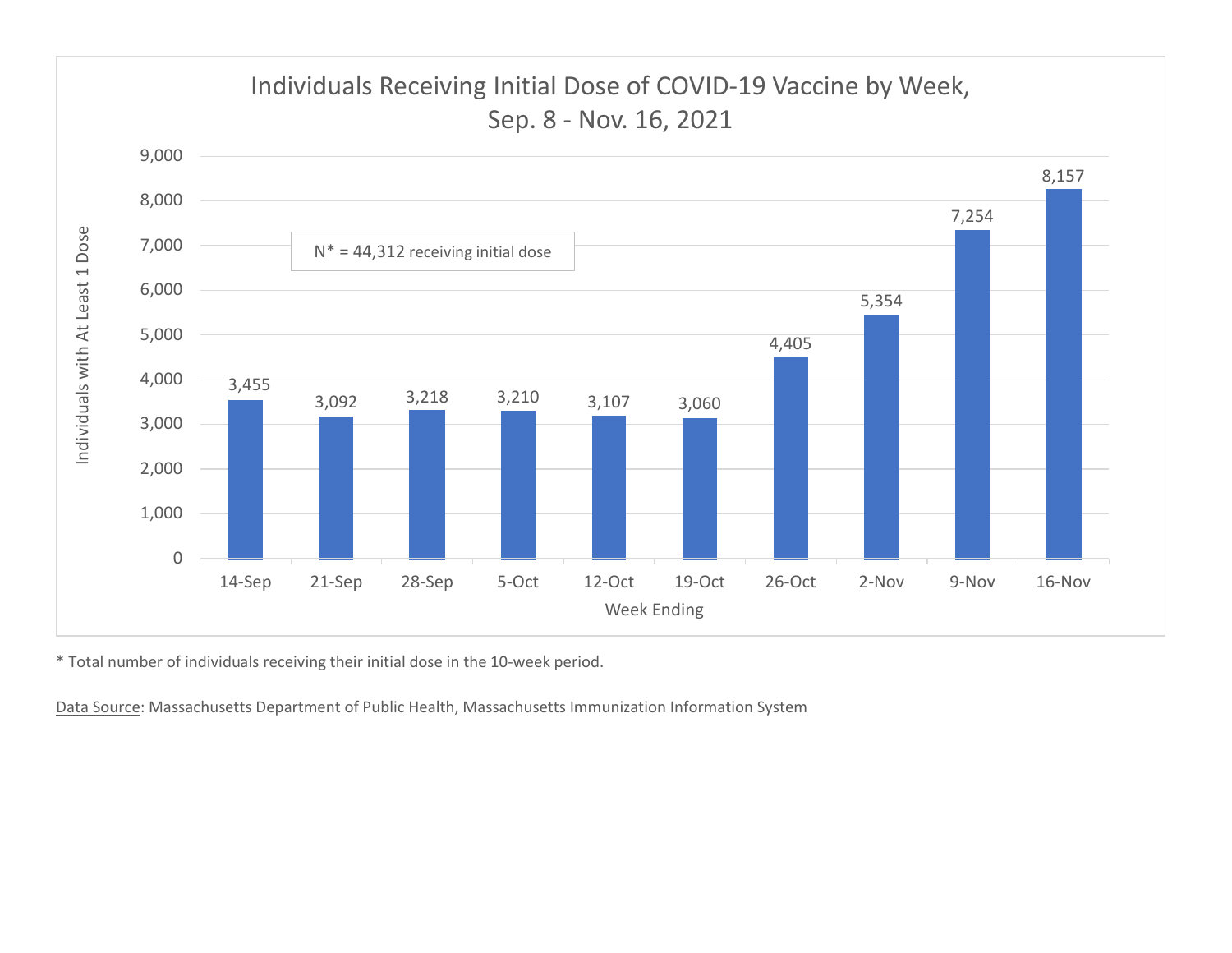

\* Total number of individuals receiving their initial dose in the 10-week period.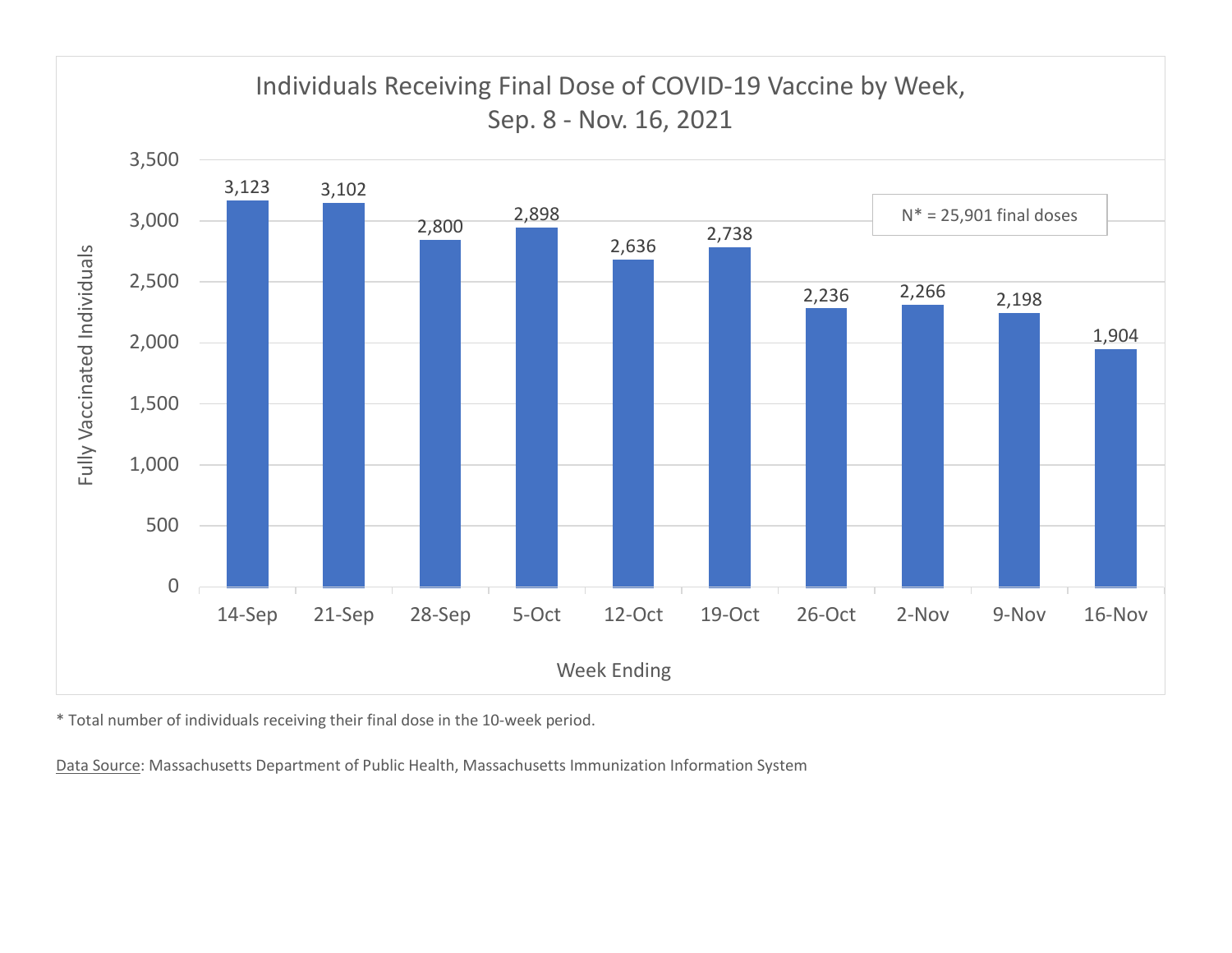

\* Total number of individuals receiving their final dose in the 10-week period.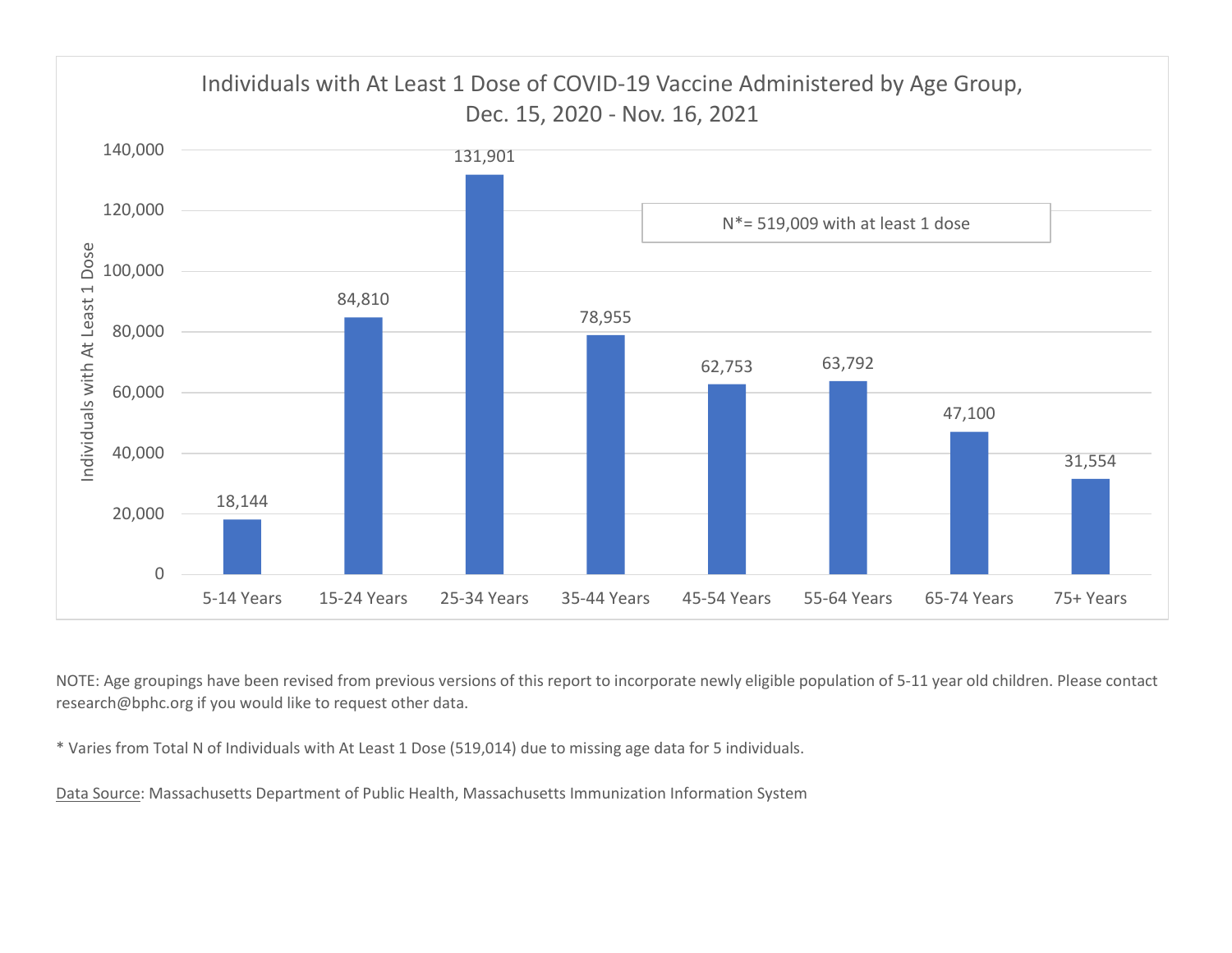

NOTE: Age groupings have been revised from previous versions of this report to incorporate newly eligible population of 5-11 year old children. Please contact research@bphc.org if you would like to request other data.

\* Varies from Total N of Individuals with At Least 1 Dose (519,014) due to missing age data for 5 individuals.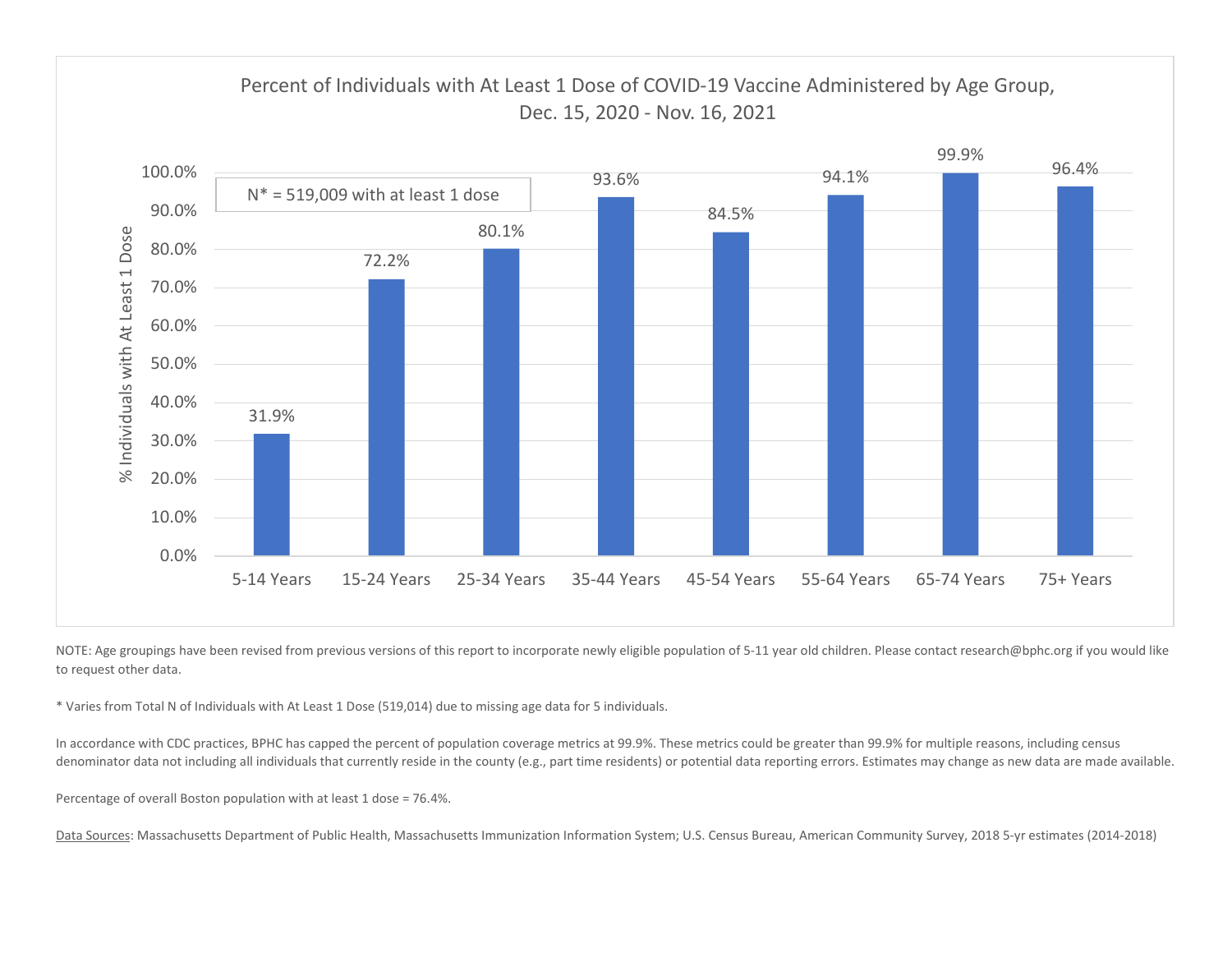

NOTE: Age groupings have been revised from previous versions of this report to incorporate newly eligible population of 5-11 year old children. Please contact research@bphc.org if you would like to request other data.

\* Varies from Total N of Individuals with At Least 1 Dose (519,014) due to missing age data for 5 individuals.

In accordance with CDC practices, BPHC has capped the percent of population coverage metrics at 99.9%. These metrics could be greater than 99.9% for multiple reasons, including census denominator data not including all individuals that currently reside in the county (e.g., part time residents) or potential data reporting errors. Estimates may change as new data are made available.

Percentage of overall Boston population with at least 1 dose = 76.4%.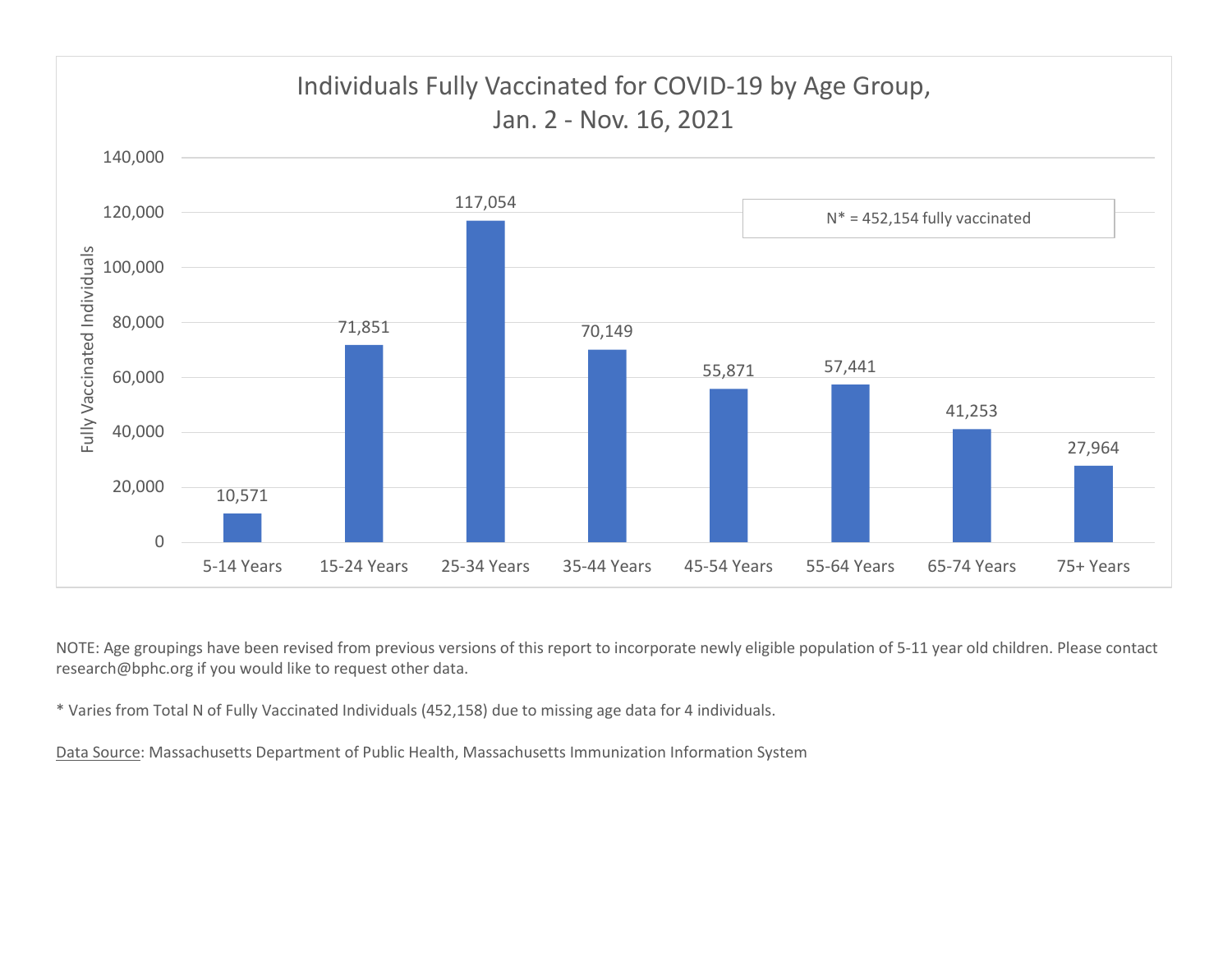

NOTE: Age groupings have been revised from previous versions of this report to incorporate newly eligible population of 5-11 year old children. Please contact research@bphc.org if you would like to request other data.

\* Varies from Total N of Fully Vaccinated Individuals (452,158) due to missing age data for 4 individuals.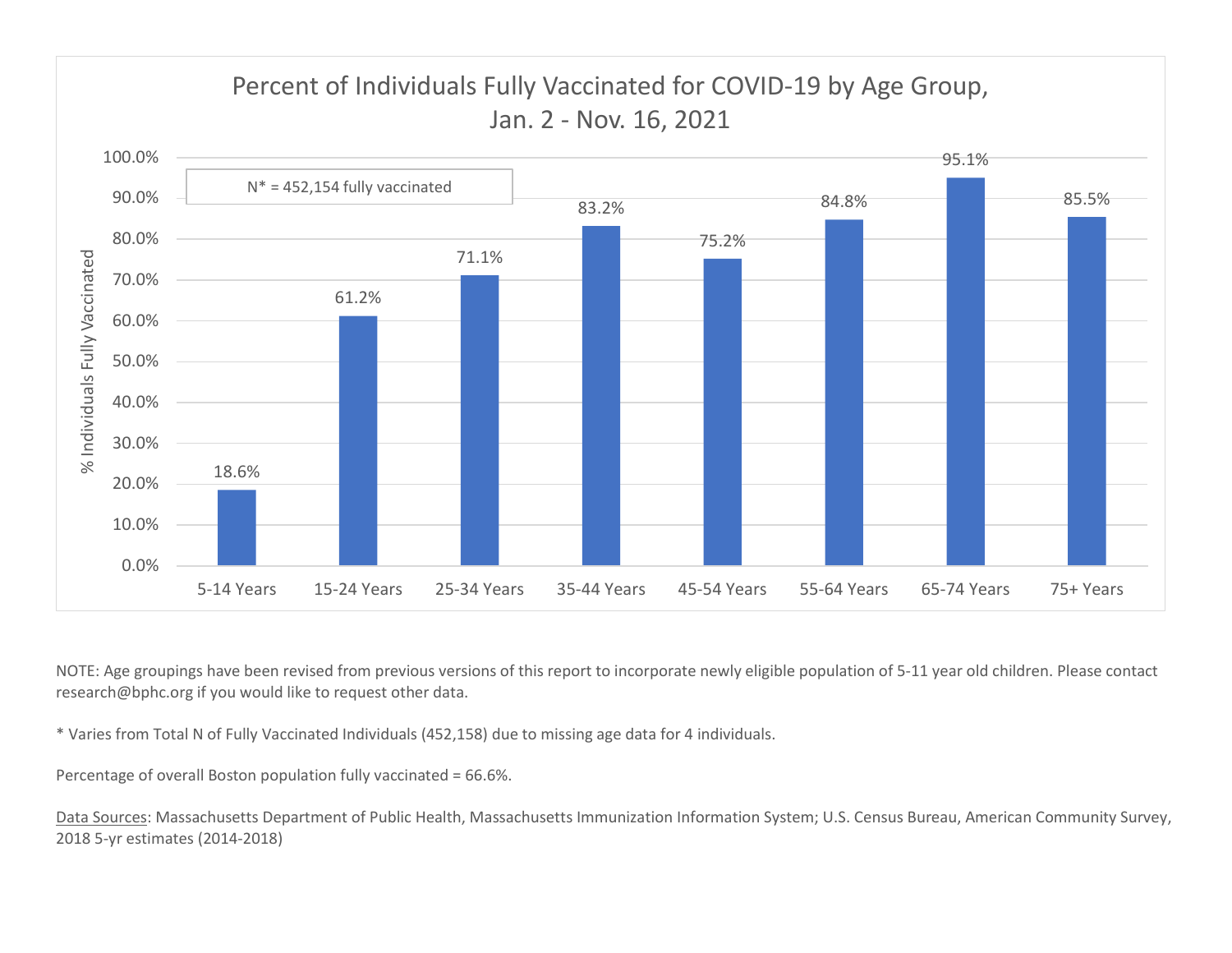

NOTE: Age groupings have been revised from previous versions of this report to incorporate newly eligible population of 5-11 year old children. Please contact research@bphc.org if you would like to request other data.

\* Varies from Total N of Fully Vaccinated Individuals (452,158) due to missing age data for 4 individuals.

Percentage of overall Boston population fully vaccinated = 66.6%.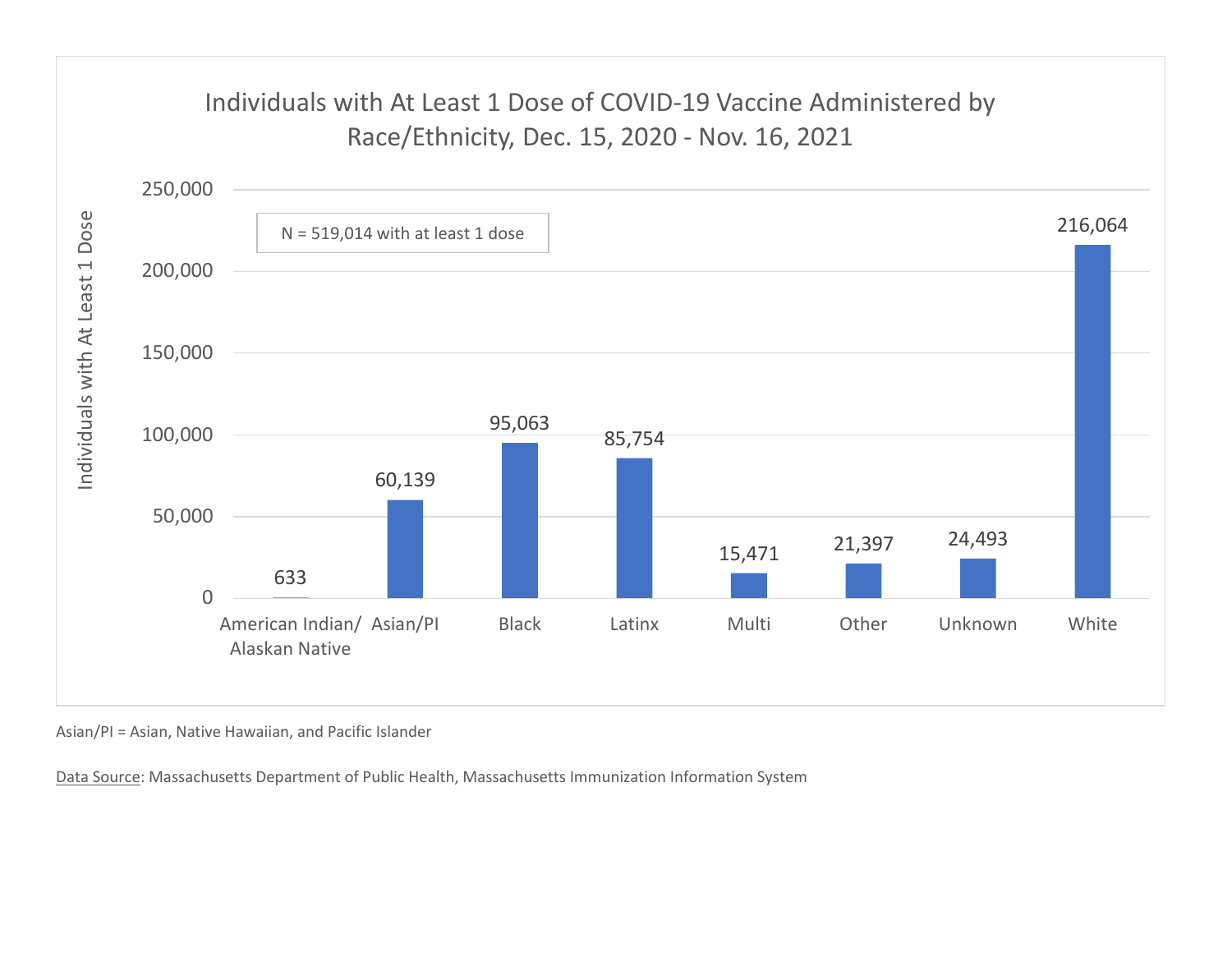## Individuals with At Least 1 Dose of COVID-19 Vaccine Administered by



Asian/PI = Asian, Native Hawaiian, and Pacific Islander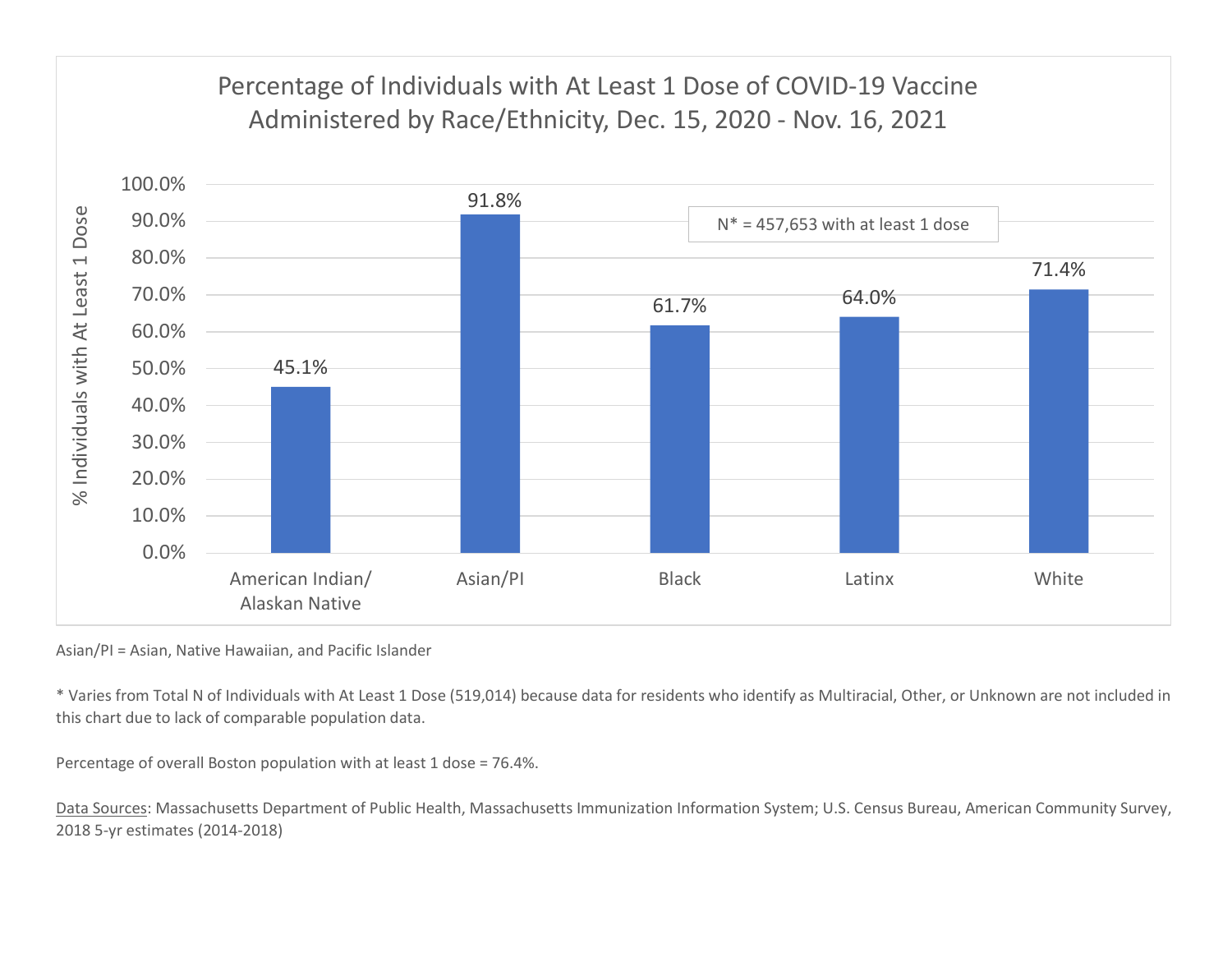

Asian/PI = Asian, Native Hawaiian, and Pacific Islander

\* Varies from Total N of Individuals with At Least 1 Dose (519,014) because data for residents who identify as Multiracial, Other, or Unknown are not included in this chart due to lack of comparable population data.

Percentage of overall Boston population with at least 1 dose = 76.4%.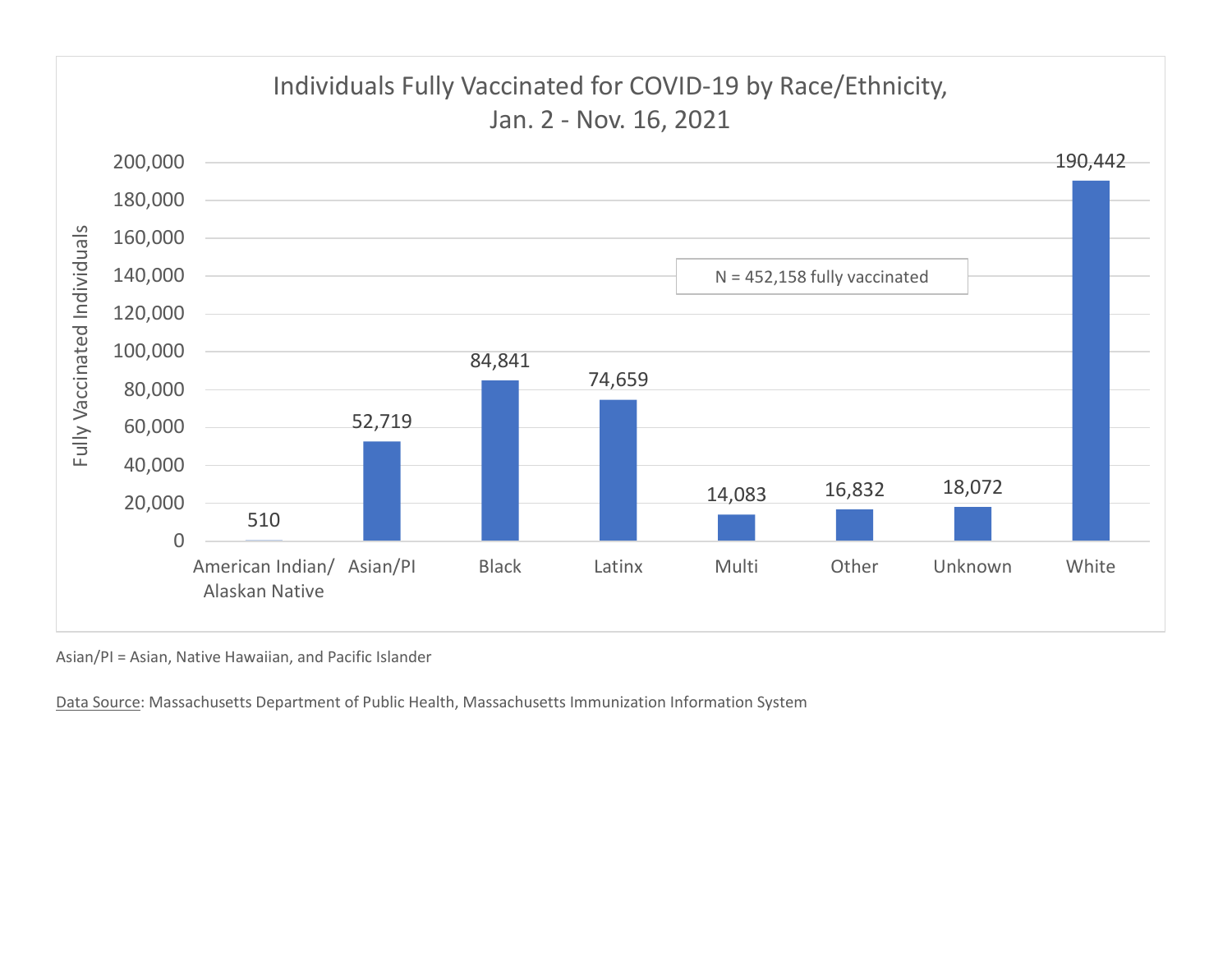

Asian/PI = Asian, Native Hawaiian, and Pacific Islander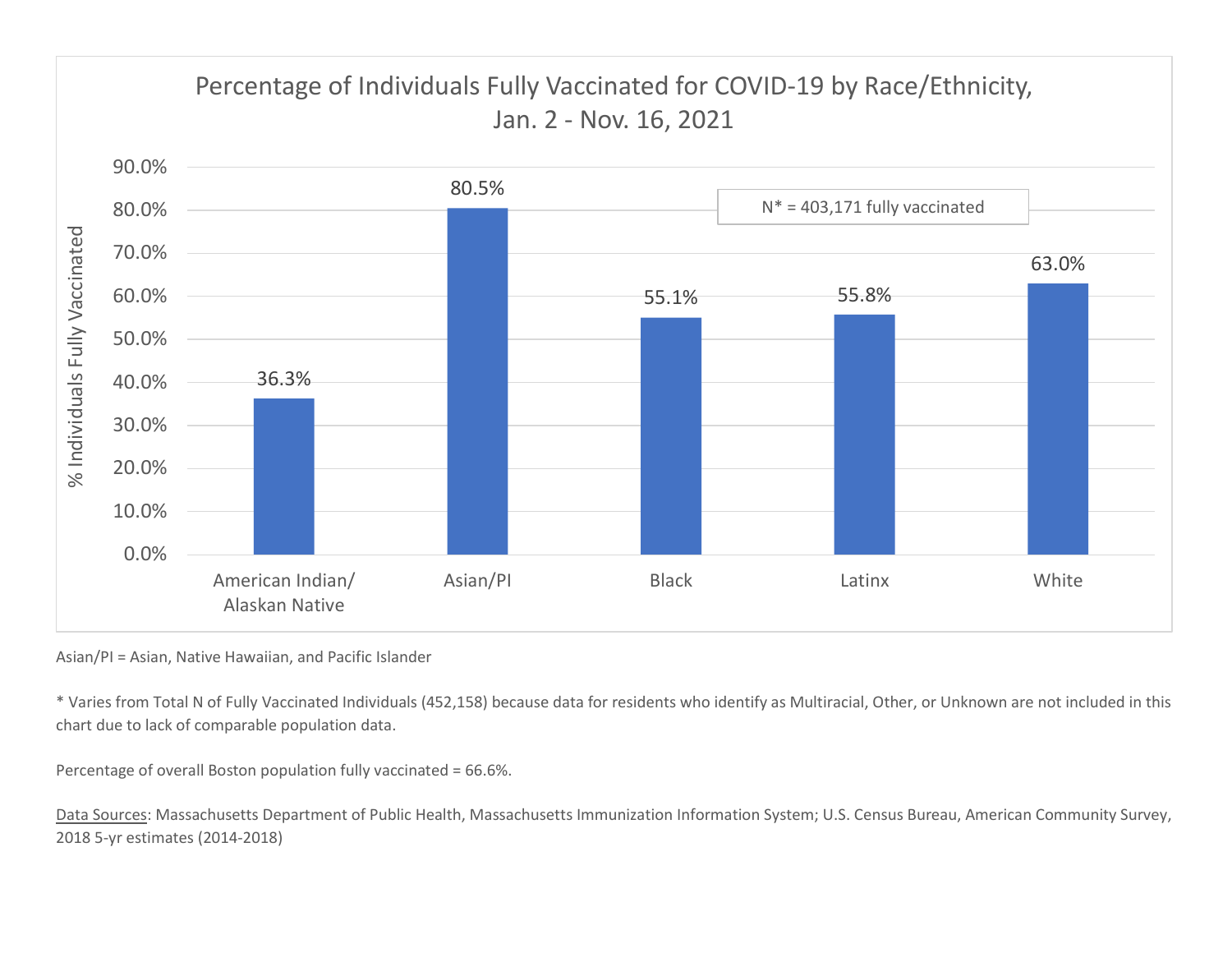

Asian/PI = Asian, Native Hawaiian, and Pacific Islander

\* Varies from Total N of Fully Vaccinated Individuals (452,158) because data for residents who identify as Multiracial, Other, or Unknown are not included in this chart due to lack of comparable population data.

Percentage of overall Boston population fully vaccinated = 66.6%.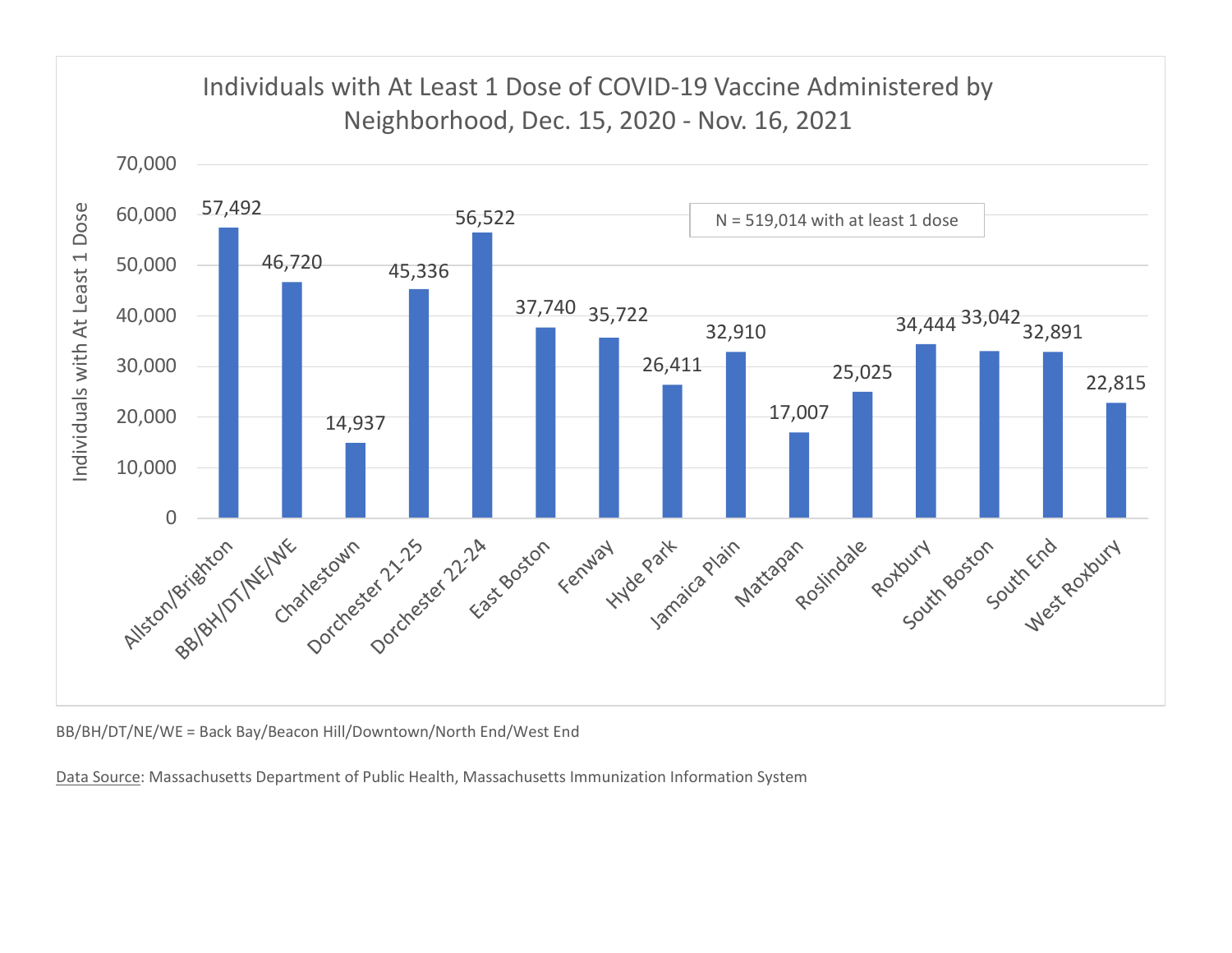

BB/BH/DT/NE/WE = Back Bay/Beacon Hill/Downtown/North End/West End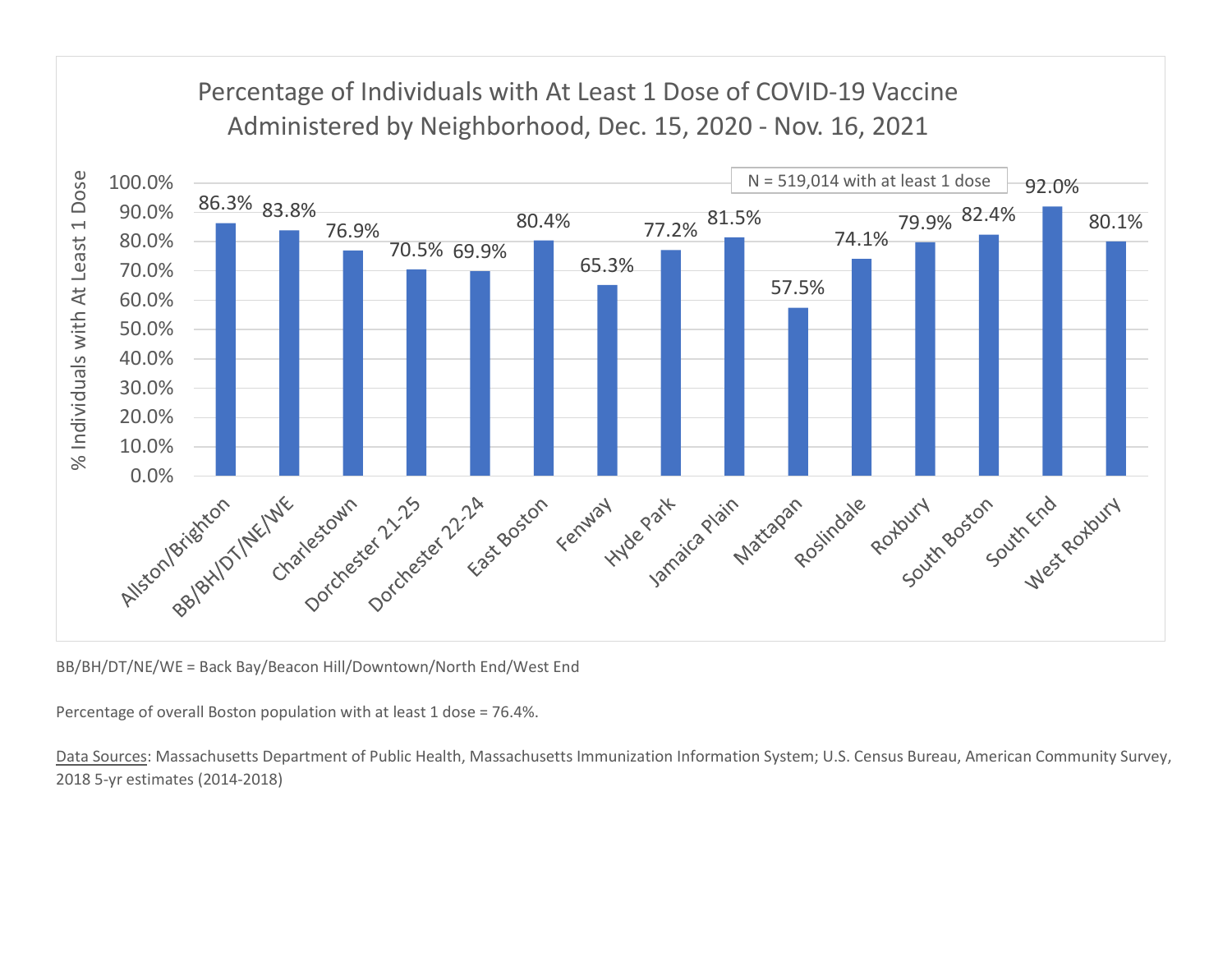

BB/BH/DT/NE/WE = Back Bay/Beacon Hill/Downtown/North End/West End

Percentage of overall Boston population with at least 1 dose = 76.4%.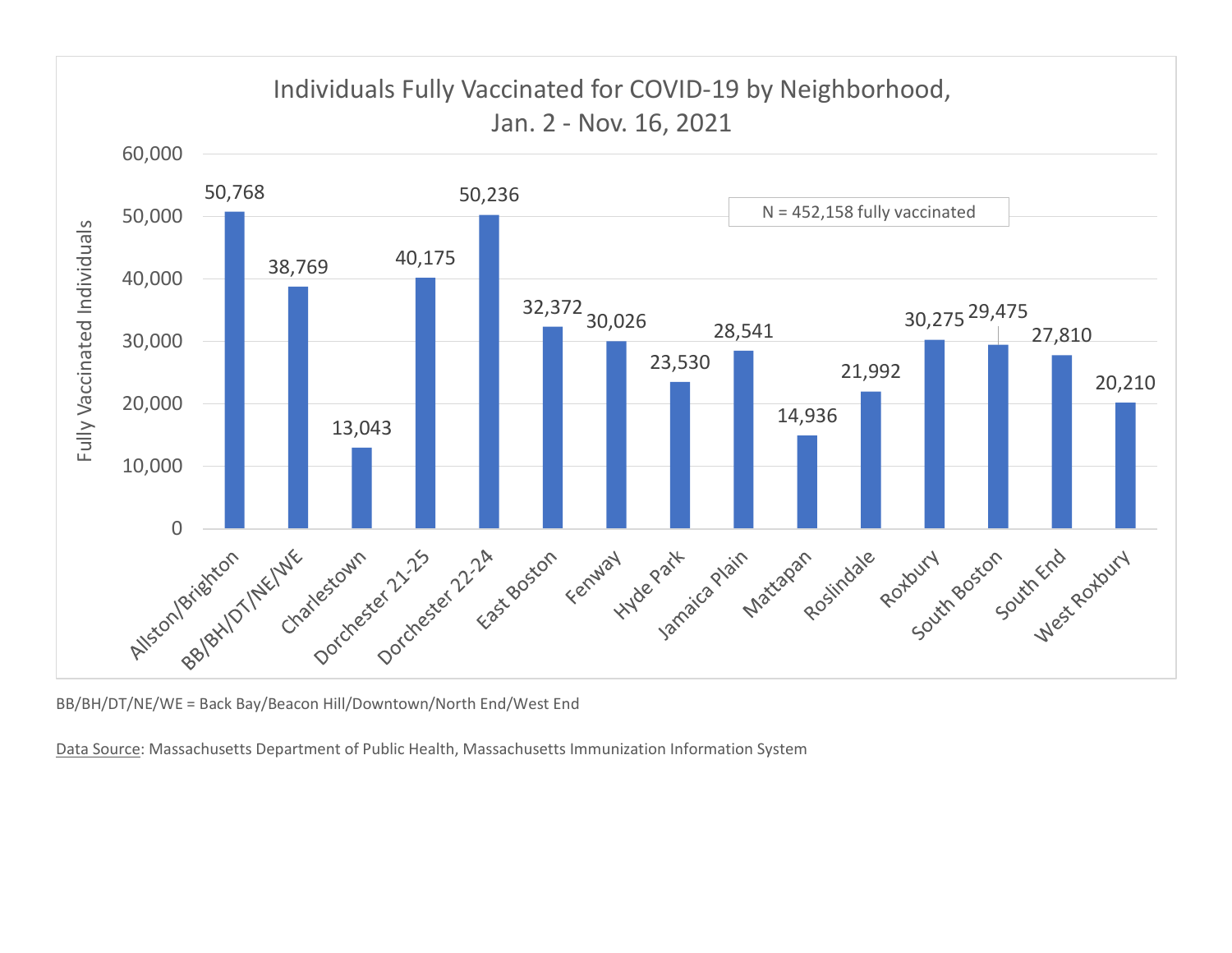

BB/BH/DT/NE/WE = Back Bay/Beacon Hill/Downtown/North End/West End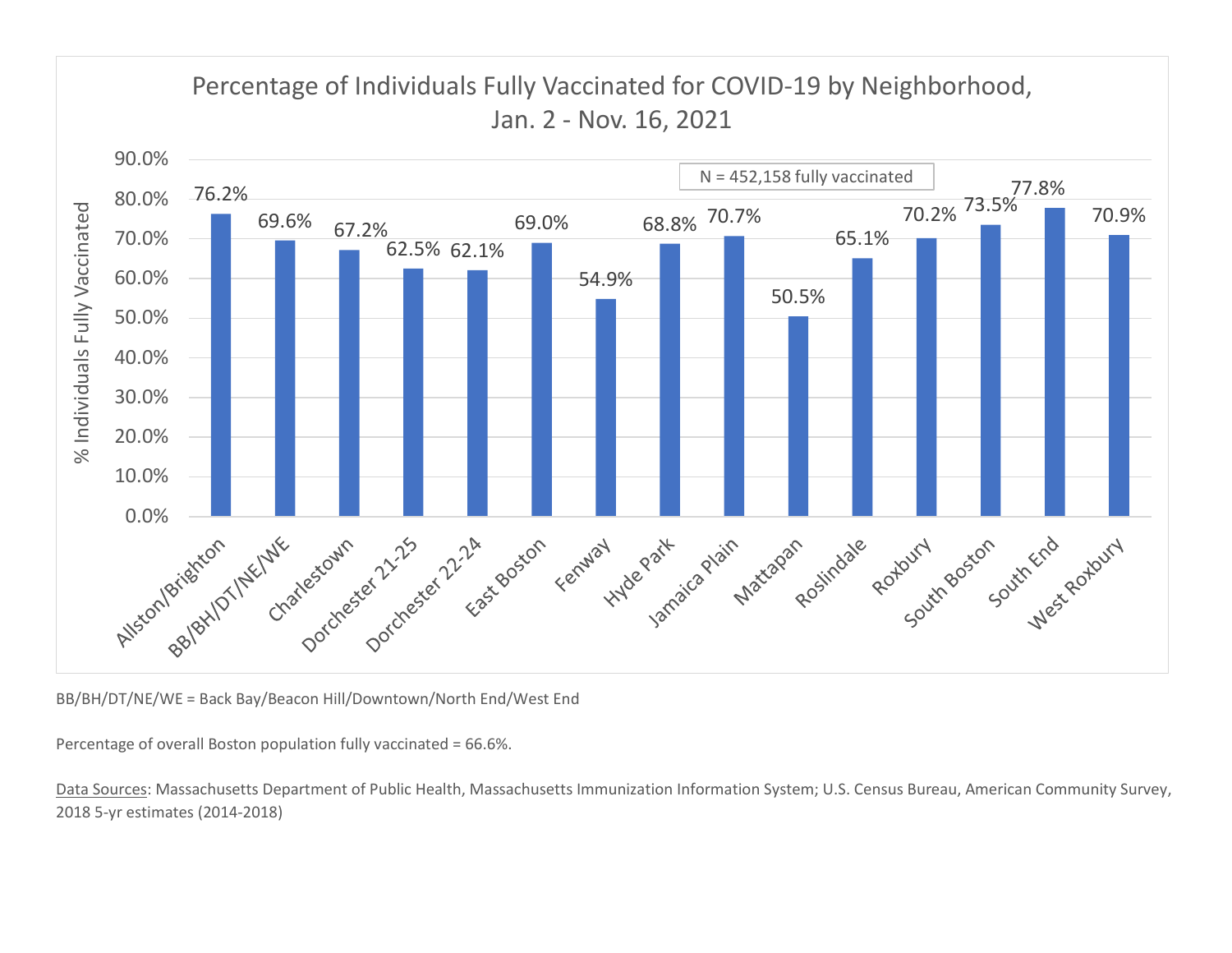

BB/BH/DT/NE/WE = Back Bay/Beacon Hill/Downtown/North End/West End

Percentage of overall Boston population fully vaccinated = 66.6%.